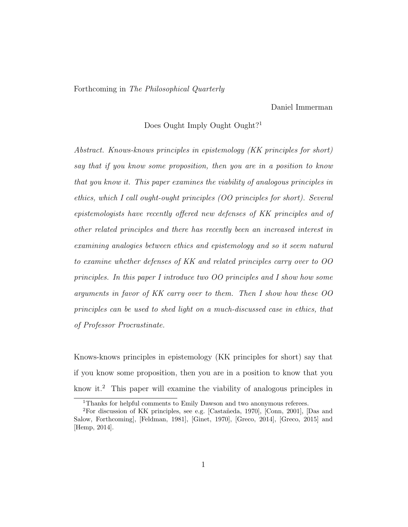### Forthcoming in The Philosophical Quarterly

Daniel Immerman

# Does Ought Imply Ought Ought?<sup>1</sup>

Abstract. Knows-knows principles in epistemology (KK principles for short) say that if you know some proposition, then you are in a position to know that you know it. This paper examines the viability of analogous principles in ethics, which I call ought-ought principles (OO principles for short). Several epistemologists have recently offered new defenses of KK principles and of other related principles and there has recently been an increased interest in examining analogies between ethics and epistemology and so it seem natural to examine whether defenses of KK and related principles carry over to OO principles. In this paper I introduce two OO principles and I show how some arguments in favor of KK carry over to them. Then I show how these OO principles can be used to shed light on a much-discussed case in ethics, that of Professor Procrastinate.

Knows-knows principles in epistemology (KK principles for short) say that if you know some proposition, then you are in a position to know that you know it.<sup>2</sup> This paper will examine the viability of analogous principles in

<sup>&</sup>lt;sup>1</sup>Thanks for helpful comments to Emily Dawson and two anonymous referees.

<sup>&</sup>lt;sup>2</sup>For discussion of KK principles, see e.g. [Castañeda, 1970], [Conn, 2001], [Das and Salow, Forthcoming], [Feldman, 1981], [Ginet, 1970], [Greco, 2014], [Greco, 2015] and [Hemp, 2014].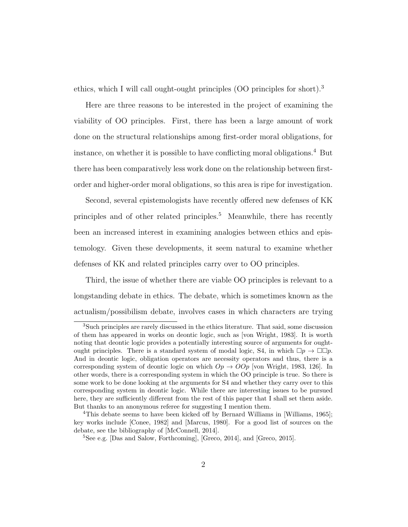ethics, which I will call ought-ought principles (OO principles for short).<sup>3</sup>

Here are three reasons to be interested in the project of examining the viability of OO principles. First, there has been a large amount of work done on the structural relationships among first-order moral obligations, for instance, on whether it is possible to have conflicting moral obligations.<sup>4</sup> But there has been comparatively less work done on the relationship between firstorder and higher-order moral obligations, so this area is ripe for investigation.

Second, several epistemologists have recently offered new defenses of KK principles and of other related principles.<sup>5</sup> Meanwhile, there has recently been an increased interest in examining analogies between ethics and epistemology. Given these developments, it seem natural to examine whether defenses of KK and related principles carry over to OO principles.

Third, the issue of whether there are viable OO principles is relevant to a longstanding debate in ethics. The debate, which is sometimes known as the actualism/possibilism debate, involves cases in which characters are trying

<sup>&</sup>lt;sup>3</sup>Such principles are rarely discussed in the ethics literature. That said, some discussion of them has appeared in works on deontic logic, such as [von Wright, 1983]. It is worth noting that deontic logic provides a potentially interesting source of arguments for oughtought principles. There is a standard system of modal logic, S4, in which  $\Box p \rightarrow \Box \Box p$ . And in deontic logic, obligation operators are necessity operators and thus, there is a corresponding system of deontic logic on which  $Op \rightarrow OOp$  [von Wright, 1983, 126]. In other words, there is a corresponding system in which the OO principle is true. So there is some work to be done looking at the arguments for S4 and whether they carry over to this corresponding system in deontic logic. While there are interesting issues to be pursued here, they are sufficiently different from the rest of this paper that I shall set them aside. But thanks to an anonymous referee for suggesting I mention them.

<sup>4</sup>This debate seems to have been kicked off by Bernard Williams in [Williams, 1965]; key works include [Conee, 1982] and [Marcus, 1980]. For a good list of sources on the debate, see the bibliography of [McConnell, 2014].

<sup>5</sup>See e.g. [Das and Salow, Forthcoming], [Greco, 2014], and [Greco, 2015].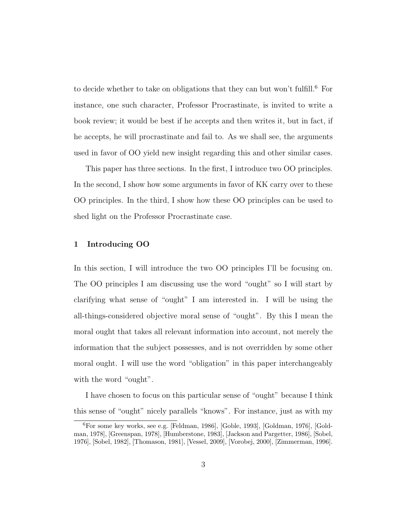to decide whether to take on obligations that they can but won't fulfill.<sup>6</sup> For instance, one such character, Professor Procrastinate, is invited to write a book review; it would be best if he accepts and then writes it, but in fact, if he accepts, he will procrastinate and fail to. As we shall see, the arguments used in favor of OO yield new insight regarding this and other similar cases.

This paper has three sections. In the first, I introduce two OO principles. In the second, I show how some arguments in favor of KK carry over to these OO principles. In the third, I show how these OO principles can be used to shed light on the Professor Procrastinate case.

### 1 Introducing OO

In this section, I will introduce the two OO principles I'll be focusing on. The OO principles I am discussing use the word "ought" so I will start by clarifying what sense of "ought" I am interested in. I will be using the all-things-considered objective moral sense of "ought". By this I mean the moral ought that takes all relevant information into account, not merely the information that the subject possesses, and is not overridden by some other moral ought. I will use the word "obligation" in this paper interchangeably with the word "ought".

I have chosen to focus on this particular sense of "ought" because I think this sense of "ought" nicely parallels "knows". For instance, just as with my

<sup>6</sup>For some key works, see e.g. [Feldman, 1986], [Goble, 1993], [Goldman, 1976], [Goldman, 1978], [Greenspan, 1978], [Humberstone, 1983], [Jackson and Pargetter, 1986], [Sobel, 1976], [Sobel, 1982], [Thomason, 1981], [Vessel, 2009], [Vorobej, 2000], [Zimmerman, 1996].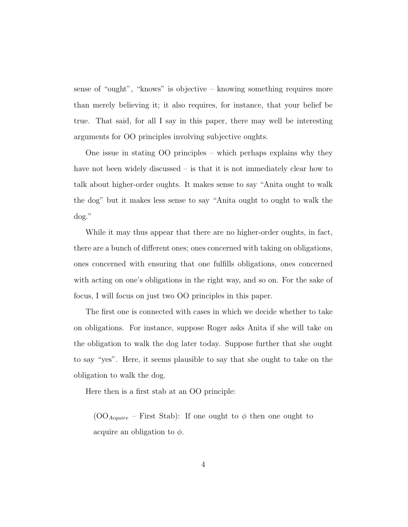sense of "ought", "knows" is objective – knowing something requires more than merely believing it; it also requires, for instance, that your belief be true. That said, for all I say in this paper, there may well be interesting arguments for OO principles involving subjective oughts.

One issue in stating OO principles – which perhaps explains why they have not been widely discussed – is that it is not immediately clear how to talk about higher-order oughts. It makes sense to say "Anita ought to walk the dog" but it makes less sense to say "Anita ought to ought to walk the dog."

While it may thus appear that there are no higher-order oughts, in fact, there are a bunch of different ones; ones concerned with taking on obligations, ones concerned with ensuring that one fulfills obligations, ones concerned with acting on one's obligations in the right way, and so on. For the sake of focus, I will focus on just two OO principles in this paper.

The first one is connected with cases in which we decide whether to take on obligations. For instance, suppose Roger asks Anita if she will take on the obligation to walk the dog later today. Suppose further that she ought to say "yes". Here, it seems plausible to say that she ought to take on the obligation to walk the dog.

Here then is a first stab at an OO principle:

(OO<sub>Acquire</sub> – First Stab): If one ought to  $\phi$  then one ought to acquire an obligation to  $\phi$ .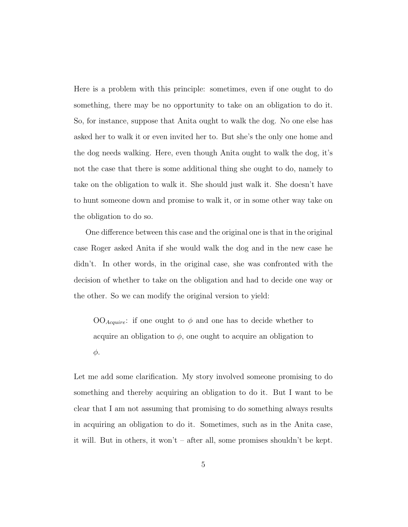Here is a problem with this principle: sometimes, even if one ought to do something, there may be no opportunity to take on an obligation to do it. So, for instance, suppose that Anita ought to walk the dog. No one else has asked her to walk it or even invited her to. But she's the only one home and the dog needs walking. Here, even though Anita ought to walk the dog, it's not the case that there is some additional thing she ought to do, namely to take on the obligation to walk it. She should just walk it. She doesn't have to hunt someone down and promise to walk it, or in some other way take on the obligation to do so.

One difference between this case and the original one is that in the original case Roger asked Anita if she would walk the dog and in the new case he didn't. In other words, in the original case, she was confronted with the decision of whether to take on the obligation and had to decide one way or the other. So we can modify the original version to yield:

 $OO_{Acquire}$ : if one ought to  $\phi$  and one has to decide whether to acquire an obligation to  $\phi$ , one ought to acquire an obligation to φ.

Let me add some clarification. My story involved someone promising to do something and thereby acquiring an obligation to do it. But I want to be clear that I am not assuming that promising to do something always results in acquiring an obligation to do it. Sometimes, such as in the Anita case, it will. But in others, it won't – after all, some promises shouldn't be kept.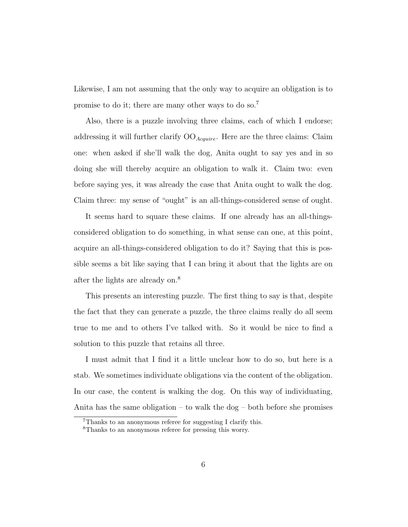Likewise, I am not assuming that the only way to acquire an obligation is to promise to do it; there are many other ways to do so.<sup>7</sup>

Also, there is a puzzle involving three claims, each of which I endorse; addressing it will further clarify  $OO_{Acquire}$ . Here are the three claims: Claim one: when asked if she'll walk the dog, Anita ought to say yes and in so doing she will thereby acquire an obligation to walk it. Claim two: even before saying yes, it was already the case that Anita ought to walk the dog. Claim three: my sense of "ought" is an all-things-considered sense of ought.

It seems hard to square these claims. If one already has an all-thingsconsidered obligation to do something, in what sense can one, at this point, acquire an all-things-considered obligation to do it? Saying that this is possible seems a bit like saying that I can bring it about that the lights are on after the lights are already on.<sup>8</sup>

This presents an interesting puzzle. The first thing to say is that, despite the fact that they can generate a puzzle, the three claims really do all seem true to me and to others I've talked with. So it would be nice to find a solution to this puzzle that retains all three.

I must admit that I find it a little unclear how to do so, but here is a stab. We sometimes individuate obligations via the content of the obligation. In our case, the content is walking the dog. On this way of individuating, Anita has the same obligation – to walk the dog – both before she promises

<sup>7</sup>Thanks to an anonymous referee for suggesting I clarify this.

<sup>8</sup>Thanks to an anonymous referee for pressing this worry.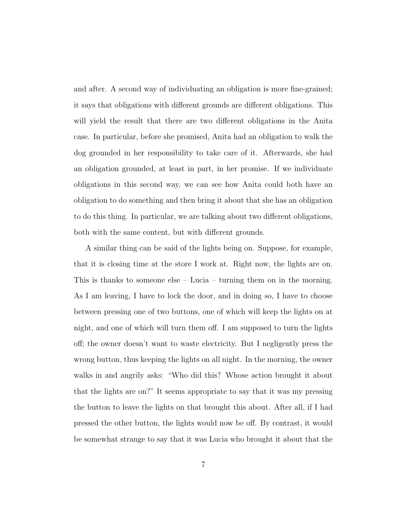and after. A second way of individuating an obligation is more fine-grained; it says that obligations with different grounds are different obligations. This will yield the result that there are two different obligations in the Anita case. In particular, before she promised, Anita had an obligation to walk the dog grounded in her responsibility to take care of it. Afterwards, she had an obligation grounded, at least in part, in her promise. If we individuate obligations in this second way, we can see how Anita could both have an obligation to do something and then bring it about that she has an obligation to do this thing. In particular, we are talking about two different obligations, both with the same content, but with different grounds.

A similar thing can be said of the lights being on. Suppose, for example, that it is closing time at the store I work at. Right now, the lights are on. This is thanks to someone else – Lucia – turning them on in the morning. As I am leaving, I have to lock the door, and in doing so, I have to choose between pressing one of two buttons, one of which will keep the lights on at night, and one of which will turn them off. I am supposed to turn the lights off; the owner doesn't want to waste electricity. But I negligently press the wrong button, thus keeping the lights on all night. In the morning, the owner walks in and angrily asks: "Who did this? Whose action brought it about that the lights are on?" It seems appropriate to say that it was my pressing the button to leave the lights on that brought this about. After all, if I had pressed the other button, the lights would now be off. By contrast, it would be somewhat strange to say that it was Lucia who brought it about that the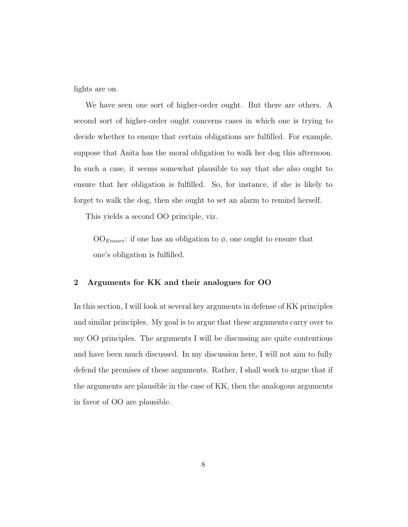lights are on.

We have seen one sort of higher-order ought. But there are others. A second sort of higher-order ought concerns cases in which one is trying to decide whether to ensure that certain obligations are fulfilled. For example, suppose that Anita has the moral obligation to walk her dog this afternoon. In such a case, it seems somewhat plausible to say that she also ought to ensure that her obligation is fulfilled. So, for instance, if she is likely to forget to walk the dog, then she ought to set an alarm to remind herself.

This yields a second OO principle, viz.

 $OO_{Ensure}$ : if one has an obligation to  $\phi$ , one ought to ensure that one's obligation is fulfilled.

### 2 Arguments for KK and their analogues for OO

In this section, I will look at several key arguments in defense of KK principles and similar principles. My goal is to argue that these arguments carry over to my OO principles. The arguments I will be discussing are quite contentious and have been much discussed. In my discussion here, I will not aim to fully defend the premises of these arguments. Rather, I shall work to argue that if the arguments are plausible in the case of KK, then the analogous arguments in favor of OO are plausible.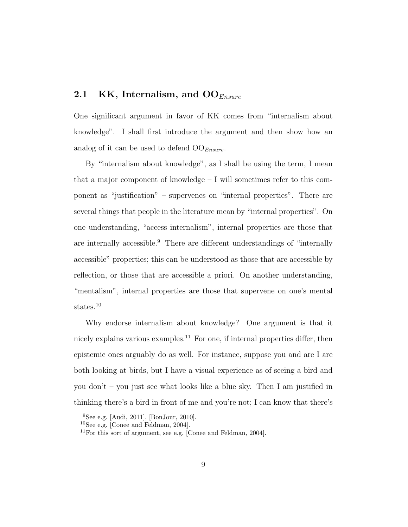# 2.1 KK, Internalism, and  $OO_{Ensure}$

One significant argument in favor of KK comes from "internalism about knowledge". I shall first introduce the argument and then show how an analog of it can be used to defend  $OO_{Ensure}$ .

By "internalism about knowledge", as I shall be using the term, I mean that a major component of knowledge – I will sometimes refer to this component as "justification" – supervenes on "internal properties". There are several things that people in the literature mean by "internal properties". On one understanding, "access internalism", internal properties are those that are internally accessible.<sup>9</sup> There are different understandings of "internally accessible" properties; this can be understood as those that are accessible by reflection, or those that are accessible a priori. On another understanding, "mentalism", internal properties are those that supervene on one's mental states.<sup>10</sup>

Why endorse internalism about knowledge? One argument is that it nicely explains various examples.<sup>11</sup> For one, if internal properties differ, then epistemic ones arguably do as well. For instance, suppose you and are I are both looking at birds, but I have a visual experience as of seeing a bird and you don't – you just see what looks like a blue sky. Then I am justified in thinking there's a bird in front of me and you're not; I can know that there's

<sup>9</sup>See e.g. [Audi, 2011], [BonJour, 2010].

<sup>10</sup>See e.g. [Conee and Feldman, 2004].

 $11$ For this sort of argument, see e.g. [Conee and Feldman, 2004].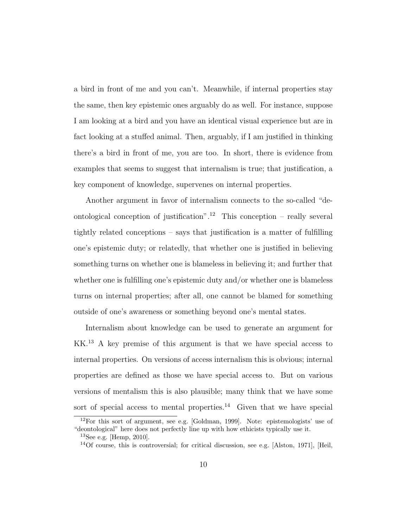a bird in front of me and you can't. Meanwhile, if internal properties stay the same, then key epistemic ones arguably do as well. For instance, suppose I am looking at a bird and you have an identical visual experience but are in fact looking at a stuffed animal. Then, arguably, if I am justified in thinking there's a bird in front of me, you are too. In short, there is evidence from examples that seems to suggest that internalism is true; that justification, a key component of knowledge, supervenes on internal properties.

Another argument in favor of internalism connects to the so-called "deontological conception of justification".<sup>12</sup> This conception – really several tightly related conceptions – says that justification is a matter of fulfilling one's epistemic duty; or relatedly, that whether one is justified in believing something turns on whether one is blameless in believing it; and further that whether one is fulfilling one's epistemic duty and/or whether one is blameless turns on internal properties; after all, one cannot be blamed for something outside of one's awareness or something beyond one's mental states.

Internalism about knowledge can be used to generate an argument for KK.<sup>13</sup> A key premise of this argument is that we have special access to internal properties. On versions of access internalism this is obvious; internal properties are defined as those we have special access to. But on various versions of mentalism this is also plausible; many think that we have some sort of special access to mental properties.<sup>14</sup> Given that we have special

<sup>12</sup>For this sort of argument, see e.g. [Goldman, 1999]. Note: epistemologists' use of "deontological" here does not perfectly line up with how ethicists typically use it.

 $^{13}$ See e.g. [Hemp, 2010].

<sup>14</sup>Of course, this is controversial; for critical discussion, see e.g. [Alston, 1971], [Heil,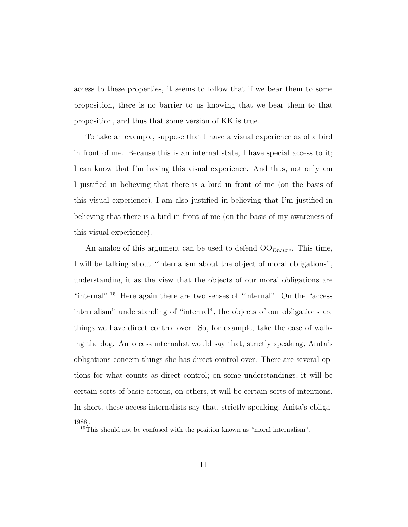access to these properties, it seems to follow that if we bear them to some proposition, there is no barrier to us knowing that we bear them to that proposition, and thus that some version of KK is true.

To take an example, suppose that I have a visual experience as of a bird in front of me. Because this is an internal state, I have special access to it; I can know that I'm having this visual experience. And thus, not only am I justified in believing that there is a bird in front of me (on the basis of this visual experience), I am also justified in believing that I'm justified in believing that there is a bird in front of me (on the basis of my awareness of this visual experience).

An analog of this argument can be used to defend  $OO_{Ensure}$ . This time, I will be talking about "internalism about the object of moral obligations", understanding it as the view that the objects of our moral obligations are "internal".<sup>15</sup> Here again there are two senses of "internal". On the "access internalism" understanding of "internal", the objects of our obligations are things we have direct control over. So, for example, take the case of walking the dog. An access internalist would say that, strictly speaking, Anita's obligations concern things she has direct control over. There are several options for what counts as direct control; on some understandings, it will be certain sorts of basic actions, on others, it will be certain sorts of intentions. In short, these access internalists say that, strictly speaking, Anita's obliga-

<sup>1988].</sup>

<sup>&</sup>lt;sup>15</sup>This should not be confused with the position known as "moral internalism".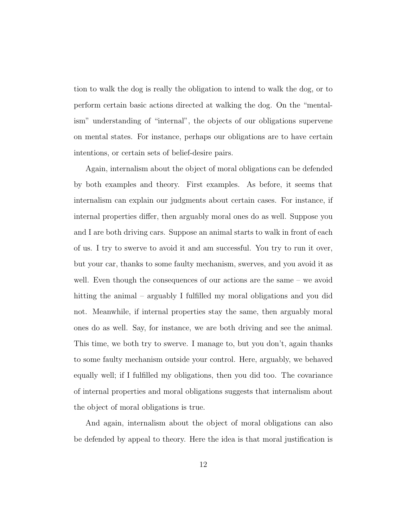tion to walk the dog is really the obligation to intend to walk the dog, or to perform certain basic actions directed at walking the dog. On the "mentalism" understanding of "internal", the objects of our obligations supervene on mental states. For instance, perhaps our obligations are to have certain intentions, or certain sets of belief-desire pairs.

Again, internalism about the object of moral obligations can be defended by both examples and theory. First examples. As before, it seems that internalism can explain our judgments about certain cases. For instance, if internal properties differ, then arguably moral ones do as well. Suppose you and I are both driving cars. Suppose an animal starts to walk in front of each of us. I try to swerve to avoid it and am successful. You try to run it over, but your car, thanks to some faulty mechanism, swerves, and you avoid it as well. Even though the consequences of our actions are the same – we avoid hitting the animal – arguably I fulfilled my moral obligations and you did not. Meanwhile, if internal properties stay the same, then arguably moral ones do as well. Say, for instance, we are both driving and see the animal. This time, we both try to swerve. I manage to, but you don't, again thanks to some faulty mechanism outside your control. Here, arguably, we behaved equally well; if I fulfilled my obligations, then you did too. The covariance of internal properties and moral obligations suggests that internalism about the object of moral obligations is true.

And again, internalism about the object of moral obligations can also be defended by appeal to theory. Here the idea is that moral justification is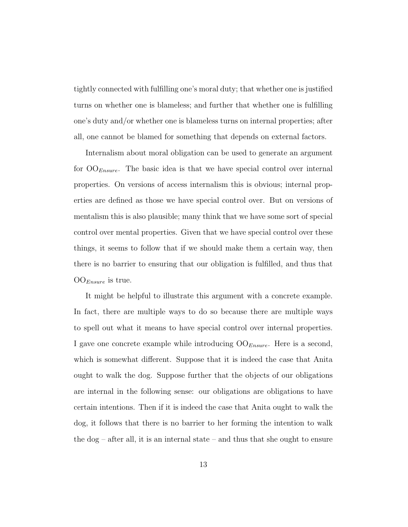tightly connected with fulfilling one's moral duty; that whether one is justified turns on whether one is blameless; and further that whether one is fulfilling one's duty and/or whether one is blameless turns on internal properties; after all, one cannot be blamed for something that depends on external factors.

Internalism about moral obligation can be used to generate an argument for  $OO_{Ensure}$ . The basic idea is that we have special control over internal properties. On versions of access internalism this is obvious; internal properties are defined as those we have special control over. But on versions of mentalism this is also plausible; many think that we have some sort of special control over mental properties. Given that we have special control over these things, it seems to follow that if we should make them a certain way, then there is no barrier to ensuring that our obligation is fulfilled, and thus that  $OO_{Ensure}$  is true.

It might be helpful to illustrate this argument with a concrete example. In fact, there are multiple ways to do so because there are multiple ways to spell out what it means to have special control over internal properties. I gave one concrete example while introducing  $OO_{Ensure}$ . Here is a second, which is somewhat different. Suppose that it is indeed the case that Anita ought to walk the dog. Suppose further that the objects of our obligations are internal in the following sense: our obligations are obligations to have certain intentions. Then if it is indeed the case that Anita ought to walk the dog, it follows that there is no barrier to her forming the intention to walk the  $\log$  – after all, it is an internal state – and thus that she ought to ensure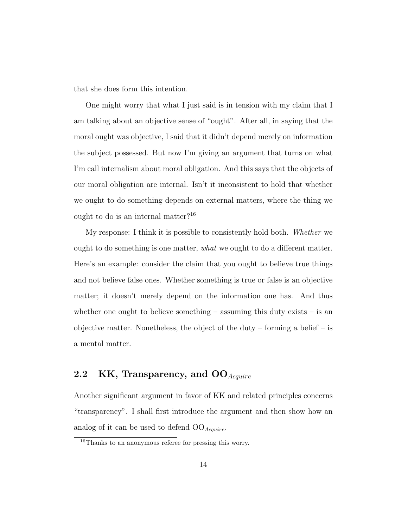that she does form this intention.

One might worry that what I just said is in tension with my claim that I am talking about an objective sense of "ought". After all, in saying that the moral ought was objective, I said that it didn't depend merely on information the subject possessed. But now I'm giving an argument that turns on what I'm call internalism about moral obligation. And this says that the objects of our moral obligation are internal. Isn't it inconsistent to hold that whether we ought to do something depends on external matters, where the thing we ought to do is an internal matter?<sup>16</sup>

My response: I think it is possible to consistently hold both. Whether we ought to do something is one matter, what we ought to do a different matter. Here's an example: consider the claim that you ought to believe true things and not believe false ones. Whether something is true or false is an objective matter; it doesn't merely depend on the information one has. And thus whether one ought to believe something – assuming this duty exists – is an objective matter. Nonetheless, the object of the duty – forming a belief – is a mental matter.

# 2.2 KK, Transparency, and  $OO_{Acquire}$

Another significant argument in favor of KK and related principles concerns "transparency". I shall first introduce the argument and then show how an analog of it can be used to defend  $OO_{Acquire}$ .

<sup>16</sup>Thanks to an anonymous referee for pressing this worry.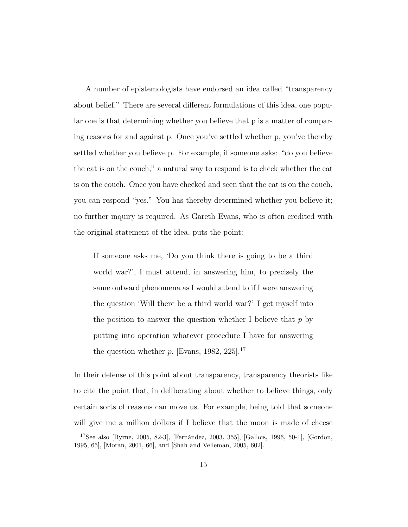A number of epistemologists have endorsed an idea called "transparency about belief." There are several different formulations of this idea, one popular one is that determining whether you believe that p is a matter of comparing reasons for and against p. Once you've settled whether p, you've thereby settled whether you believe p. For example, if someone asks: "do you believe the cat is on the couch," a natural way to respond is to check whether the cat is on the couch. Once you have checked and seen that the cat is on the couch, you can respond "yes." You has thereby determined whether you believe it; no further inquiry is required. As Gareth Evans, who is often credited with the original statement of the idea, puts the point:

If someone asks me, 'Do you think there is going to be a third world war?', I must attend, in answering him, to precisely the same outward phenomena as I would attend to if I were answering the question 'Will there be a third world war?' I get myself into the position to answer the question whether I believe that  $p$  by putting into operation whatever procedure I have for answering the question whether  $p$ . [Evans, 1982, 225].<sup>17</sup>

In their defense of this point about transparency, transparency theorists like to cite the point that, in deliberating about whether to believe things, only certain sorts of reasons can move us. For example, being told that someone will give me a million dollars if I believe that the moon is made of cheese

 $17$ See also [Byrne, 2005, 82-3], [Fernández, 2003, 355], [Gallois, 1996, 50-1], [Gordon, 1995, 65], [Moran, 2001, 66], and [Shah and Velleman, 2005, 602].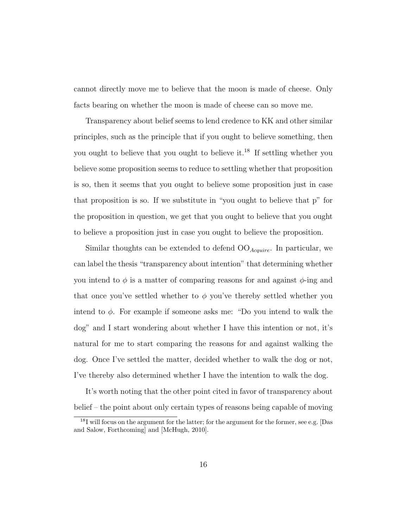cannot directly move me to believe that the moon is made of cheese. Only facts bearing on whether the moon is made of cheese can so move me.

Transparency about belief seems to lend credence to KK and other similar principles, such as the principle that if you ought to believe something, then you ought to believe that you ought to believe it.<sup>18</sup> If settling whether you believe some proposition seems to reduce to settling whether that proposition is so, then it seems that you ought to believe some proposition just in case that proposition is so. If we substitute in "you ought to believe that p" for the proposition in question, we get that you ought to believe that you ought to believe a proposition just in case you ought to believe the proposition.

Similar thoughts can be extended to defend  $OO_{Acquire}$ . In particular, we can label the thesis "transparency about intention" that determining whether you intend to  $\phi$  is a matter of comparing reasons for and against  $\phi$ -ing and that once you've settled whether to  $\phi$  you've thereby settled whether you intend to  $\phi$ . For example if someone asks me: "Do you intend to walk the dog" and I start wondering about whether I have this intention or not, it's natural for me to start comparing the reasons for and against walking the dog. Once I've settled the matter, decided whether to walk the dog or not, I've thereby also determined whether I have the intention to walk the dog.

It's worth noting that the other point cited in favor of transparency about belief – the point about only certain types of reasons being capable of moving

<sup>&</sup>lt;sup>18</sup>I will focus on the argument for the latter; for the argument for the former, see e.g. [Das and Salow, Forthcoming] and [McHugh, 2010].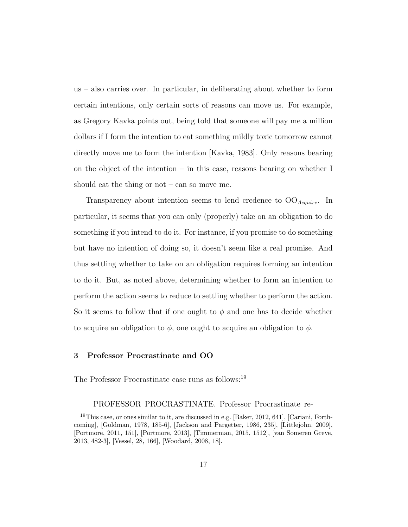us – also carries over. In particular, in deliberating about whether to form certain intentions, only certain sorts of reasons can move us. For example, as Gregory Kavka points out, being told that someone will pay me a million dollars if I form the intention to eat something mildly toxic tomorrow cannot directly move me to form the intention [Kavka, 1983]. Only reasons bearing on the object of the intention – in this case, reasons bearing on whether I should eat the thing or not – can so move me.

Transparency about intention seems to lend credence to  $OO_{Acquire}$ . In particular, it seems that you can only (properly) take on an obligation to do something if you intend to do it. For instance, if you promise to do something but have no intention of doing so, it doesn't seem like a real promise. And thus settling whether to take on an obligation requires forming an intention to do it. But, as noted above, determining whether to form an intention to perform the action seems to reduce to settling whether to perform the action. So it seems to follow that if one ought to  $\phi$  and one has to decide whether to acquire an obligation to  $\phi$ , one ought to acquire an obligation to  $\phi$ .

# 3 Professor Procrastinate and OO

The Professor Procrastinate case runs as follows:<sup>19</sup>

PROFESSOR PROCRASTINATE. Professor Procrastinate re-

<sup>&</sup>lt;sup>19</sup>This case, or ones similar to it, are discussed in e.g. [Baker, 2012, 641], [Cariani, Forthcoming], [Goldman, 1978, 185-6], [Jackson and Pargetter, 1986, 235], [Littlejohn, 2009], [Portmore, 2011, 151], [Portmore, 2013], [Timmerman, 2015, 1512], [van Someren Greve, 2013, 482-3], [Vessel, 28, 166], [Woodard, 2008, 18].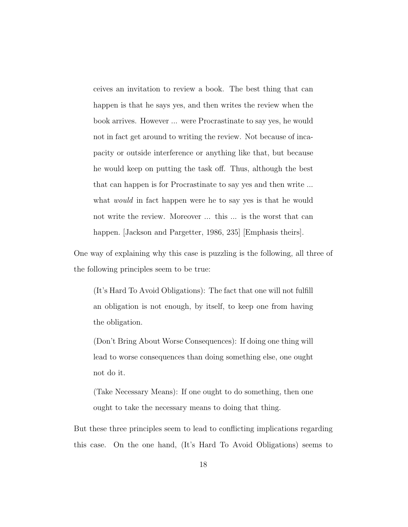ceives an invitation to review a book. The best thing that can happen is that he says yes, and then writes the review when the book arrives. However ... were Procrastinate to say yes, he would not in fact get around to writing the review. Not because of incapacity or outside interference or anything like that, but because he would keep on putting the task off. Thus, although the best that can happen is for Procrastinate to say yes and then write ... what *would* in fact happen were he to say yes is that he would not write the review. Moreover ... this ... is the worst that can happen. [Jackson and Pargetter, 1986, 235] [Emphasis theirs].

One way of explaining why this case is puzzling is the following, all three of the following principles seem to be true:

(It's Hard To Avoid Obligations): The fact that one will not fulfill an obligation is not enough, by itself, to keep one from having the obligation.

(Don't Bring About Worse Consequences): If doing one thing will lead to worse consequences than doing something else, one ought not do it.

(Take Necessary Means): If one ought to do something, then one ought to take the necessary means to doing that thing.

But these three principles seem to lead to conflicting implications regarding this case. On the one hand, (It's Hard To Avoid Obligations) seems to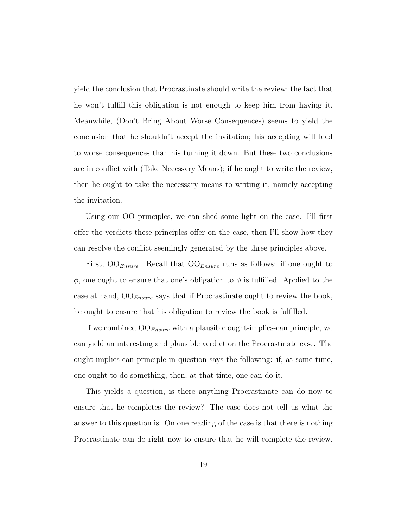yield the conclusion that Procrastinate should write the review; the fact that he won't fulfill this obligation is not enough to keep him from having it. Meanwhile, (Don't Bring About Worse Consequences) seems to yield the conclusion that he shouldn't accept the invitation; his accepting will lead to worse consequences than his turning it down. But these two conclusions are in conflict with (Take Necessary Means); if he ought to write the review, then he ought to take the necessary means to writing it, namely accepting the invitation.

Using our OO principles, we can shed some light on the case. I'll first offer the verdicts these principles offer on the case, then I'll show how they can resolve the conflict seemingly generated by the three principles above.

First,  $OO_{Ensure}$ . Recall that  $OO_{Ensure}$  runs as follows: if one ought to  $\phi$ , one ought to ensure that one's obligation to  $\phi$  is fulfilled. Applied to the case at hand,  $OO_{Ensure}$  says that if Procrastinate ought to review the book, he ought to ensure that his obligation to review the book is fulfilled.

If we combined  $OO_{Ensure}$  with a plausible ought-implies-can principle, we can yield an interesting and plausible verdict on the Procrastinate case. The ought-implies-can principle in question says the following: if, at some time, one ought to do something, then, at that time, one can do it.

This yields a question, is there anything Procrastinate can do now to ensure that he completes the review? The case does not tell us what the answer to this question is. On one reading of the case is that there is nothing Procrastinate can do right now to ensure that he will complete the review.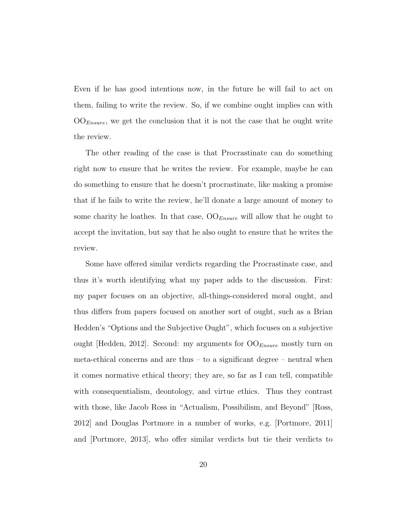Even if he has good intentions now, in the future he will fail to act on them, failing to write the review. So, if we combine ought implies can with  $OO_{Ensure}$ , we get the conclusion that it is not the case that he ought write the review.

The other reading of the case is that Procrastinate can do something right now to ensure that he writes the review. For example, maybe he can do something to ensure that he doesn't procrastinate, like making a promise that if he fails to write the review, he'll donate a large amount of money to some charity he loathes. In that case,  $OO_{Ensure}$  will allow that he ought to accept the invitation, but say that he also ought to ensure that he writes the review.

Some have offered similar verdicts regarding the Procrastinate case, and thus it's worth identifying what my paper adds to the discussion. First: my paper focuses on an objective, all-things-considered moral ought, and thus differs from papers focused on another sort of ought, such as a Brian Hedden's "Options and the Subjective Ought", which focuses on a subjective ought [Hedden, 2012]. Second: my arguments for  $OO_{Ensure}$  mostly turn on meta-ethical concerns and are thus – to a significant degree – neutral when it comes normative ethical theory; they are, so far as I can tell, compatible with consequentialism, deontology, and virtue ethics. Thus they contrast with those, like Jacob Ross in "Actualism, Possibilism, and Beyond" [Ross, 2012] and Douglas Portmore in a number of works, e.g. [Portmore, 2011] and [Portmore, 2013], who offer similar verdicts but tie their verdicts to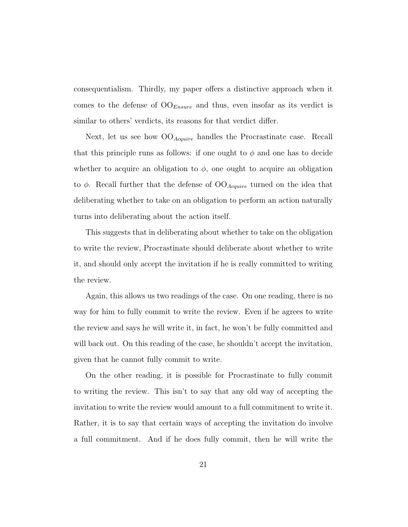consequentialism. Thirdly, my paper offers a distinctive approach when it comes to the defense of  $OO_{Ensure}$  and thus, even insofar as its verdict is similar to others' verdicts, its reasons for that verdict differ.

Next, let us see how  $OO_{Acquire}$  handles the Procrastinate case. Recall that this principle runs as follows: if one ought to  $\phi$  and one has to decide whether to acquire an obligation to  $\phi$ , one ought to acquire an obligation to  $\phi$ . Recall further that the defense of  $OO_{Acquire}$  turned on the idea that deliberating whether to take on an obligation to perform an action naturally turns into deliberating about the action itself.

This suggests that in deliberating about whether to take on the obligation to write the review, Procrastinate should deliberate about whether to write it, and should only accept the invitation if he is really committed to writing the review.

Again, this allows us two readings of the case. On one reading, there is no way for him to fully commit to write the review. Even if he agrees to write the review and says he will write it, in fact, he won't be fully committed and will back out. On this reading of the case, he shouldn't accept the invitation, given that he cannot fully commit to write.

On the other reading, it is possible for Procrastinate to fully commit to writing the review. This isn't to say that any old way of accepting the invitation to write the review would amount to a full commitment to write it. Rather, it is to say that certain ways of accepting the invitation do involve a full commitment. And if he does fully commit, then he will write the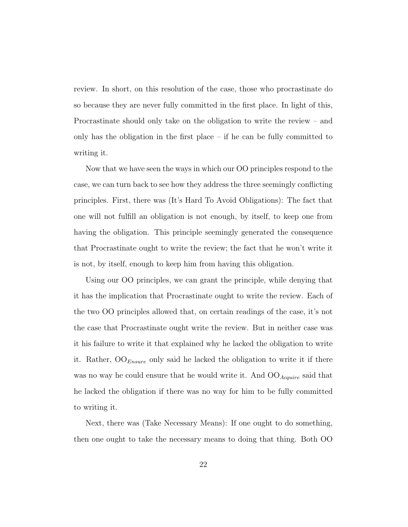review. In short, on this resolution of the case, those who procrastinate do so because they are never fully committed in the first place. In light of this, Procrastinate should only take on the obligation to write the review – and only has the obligation in the first place – if he can be fully committed to writing it.

Now that we have seen the ways in which our OO principles respond to the case, we can turn back to see how they address the three seemingly conflicting principles. First, there was (It's Hard To Avoid Obligations): The fact that one will not fulfill an obligation is not enough, by itself, to keep one from having the obligation. This principle seemingly generated the consequence that Procrastinate ought to write the review; the fact that he won't write it is not, by itself, enough to keep him from having this obligation.

Using our OO principles, we can grant the principle, while denying that it has the implication that Procrastinate ought to write the review. Each of the two OO principles allowed that, on certain readings of the case, it's not the case that Procrastinate ought write the review. But in neither case was it his failure to write it that explained why he lacked the obligation to write it. Rather,  $OO_{Ensure}$  only said he lacked the obligation to write it if there was no way he could ensure that he would write it. And  $OO_{Acquire}$  said that he lacked the obligation if there was no way for him to be fully committed to writing it.

Next, there was (Take Necessary Means): If one ought to do something, then one ought to take the necessary means to doing that thing. Both OO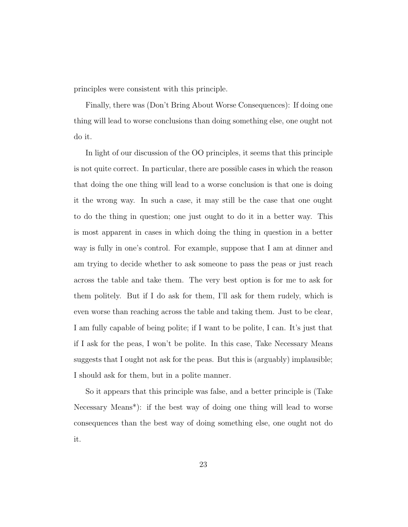principles were consistent with this principle.

Finally, there was (Don't Bring About Worse Consequences): If doing one thing will lead to worse conclusions than doing something else, one ought not do it.

In light of our discussion of the OO principles, it seems that this principle is not quite correct. In particular, there are possible cases in which the reason that doing the one thing will lead to a worse conclusion is that one is doing it the wrong way. In such a case, it may still be the case that one ought to do the thing in question; one just ought to do it in a better way. This is most apparent in cases in which doing the thing in question in a better way is fully in one's control. For example, suppose that I am at dinner and am trying to decide whether to ask someone to pass the peas or just reach across the table and take them. The very best option is for me to ask for them politely. But if I do ask for them, I'll ask for them rudely, which is even worse than reaching across the table and taking them. Just to be clear, I am fully capable of being polite; if I want to be polite, I can. It's just that if I ask for the peas, I won't be polite. In this case, Take Necessary Means suggests that I ought not ask for the peas. But this is (arguably) implausible; I should ask for them, but in a polite manner.

So it appears that this principle was false, and a better principle is (Take Necessary Means\*): if the best way of doing one thing will lead to worse consequences than the best way of doing something else, one ought not do it.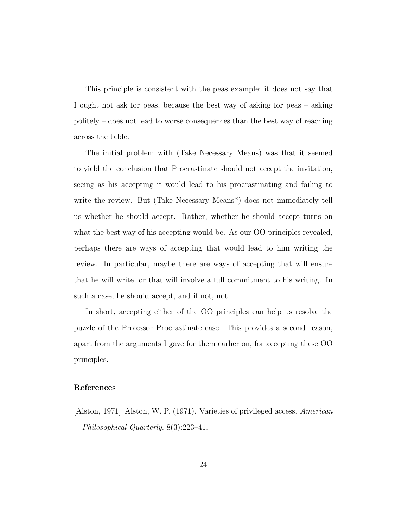This principle is consistent with the peas example; it does not say that I ought not ask for peas, because the best way of asking for peas – asking politely – does not lead to worse consequences than the best way of reaching across the table.

The initial problem with (Take Necessary Means) was that it seemed to yield the conclusion that Procrastinate should not accept the invitation, seeing as his accepting it would lead to his procrastinating and failing to write the review. But (Take Necessary Means\*) does not immediately tell us whether he should accept. Rather, whether he should accept turns on what the best way of his accepting would be. As our OO principles revealed, perhaps there are ways of accepting that would lead to him writing the review. In particular, maybe there are ways of accepting that will ensure that he will write, or that will involve a full commitment to his writing. In such a case, he should accept, and if not, not.

In short, accepting either of the OO principles can help us resolve the puzzle of the Professor Procrastinate case. This provides a second reason, apart from the arguments I gave for them earlier on, for accepting these OO principles.

## References

[Alston, 1971] Alston, W. P. (1971). Varieties of privileged access. American Philosophical Quarterly, 8(3):223–41.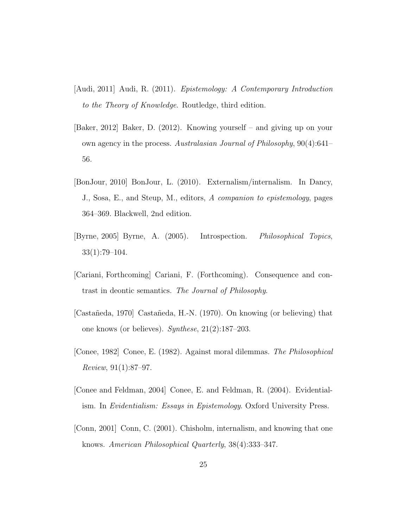- [Audi, 2011] Audi, R. (2011). Epistemology: A Contemporary Introduction to the Theory of Knowledge. Routledge, third edition.
- [Baker, 2012] Baker, D. (2012). Knowing yourself and giving up on your own agency in the process. Australasian Journal of Philosophy, 90(4):641– 56.
- [BonJour, 2010] BonJour, L. (2010). Externalism/internalism. In Dancy, J., Sosa, E., and Steup, M., editors, A companion to epistemology, pages 364–369. Blackwell, 2nd edition.
- [Byrne, 2005] Byrne, A. (2005). Introspection. Philosophical Topics, 33(1):79–104.
- [Cariani, Forthcoming] Cariani, F. (Forthcoming). Consequence and contrast in deontic semantics. The Journal of Philosophy.
- [Casta˜neda, 1970] Casta˜neda, H.-N. (1970). On knowing (or believing) that one knows (or believes). Synthese, 21(2):187–203.
- [Conee, 1982] Conee, E. (1982). Against moral dilemmas. The Philosophical Review, 91(1):87–97.
- [Conee and Feldman, 2004] Conee, E. and Feldman, R. (2004). Evidentialism. In Evidentialism: Essays in Epistemology. Oxford University Press.
- [Conn, 2001] Conn, C. (2001). Chisholm, internalism, and knowing that one knows. American Philosophical Quarterly, 38(4):333–347.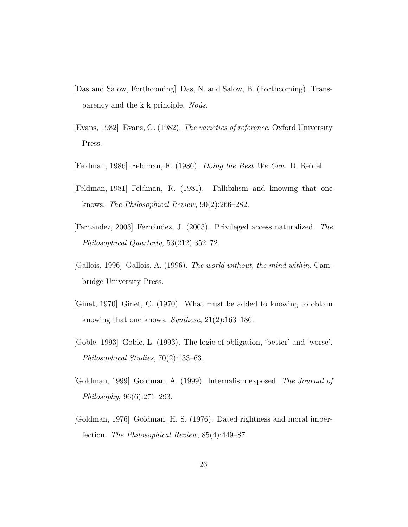- [Das and Salow, Forthcoming] Das, N. and Salow, B. (Forthcoming). Transparency and the k k principle. No $\hat{u}$ s.
- [Evans, 1982] Evans, G. (1982). The varieties of reference. Oxford University Press.
- [Feldman, 1986] Feldman, F. (1986). Doing the Best We Can. D. Reidel.
- [Feldman, 1981] Feldman, R. (1981). Fallibilism and knowing that one knows. The Philosophical Review, 90(2):266–282.
- [Fernández, 2003] Fernández, J. (2003). Privileged access naturalized. The Philosophical Quarterly, 53(212):352–72.
- [Gallois, 1996] Gallois, A. (1996). The world without, the mind within. Cambridge University Press.
- [Ginet, 1970] Ginet, C. (1970). What must be added to knowing to obtain knowing that one knows. Synthese, 21(2):163–186.
- [Goble, 1993] Goble, L. (1993). The logic of obligation, 'better' and 'worse'. Philosophical Studies, 70(2):133–63.
- [Goldman, 1999] Goldman, A. (1999). Internalism exposed. The Journal of Philosophy, 96(6):271–293.
- [Goldman, 1976] Goldman, H. S. (1976). Dated rightness and moral imperfection. The Philosophical Review, 85(4):449–87.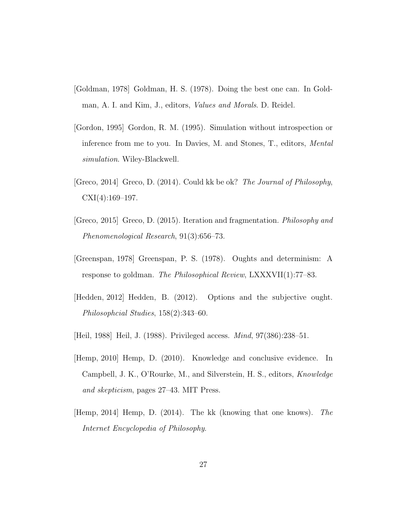- [Goldman, 1978] Goldman, H. S. (1978). Doing the best one can. In Goldman, A. I. and Kim, J., editors, Values and Morals. D. Reidel.
- [Gordon, 1995] Gordon, R. M. (1995). Simulation without introspection or inference from me to you. In Davies, M. and Stones, T., editors, Mental simulation. Wiley-Blackwell.
- [Greco, 2014] Greco, D. (2014). Could kk be ok? The Journal of Philosophy,  $CXI(4):169-197.$
- [Greco, 2015] Greco, D. (2015). Iteration and fragmentation. Philosophy and Phenomenological Research, 91(3):656–73.
- [Greenspan, 1978] Greenspan, P. S. (1978). Oughts and determinism: A response to goldman. The Philosophical Review, LXXXVII(1):77–83.
- [Hedden, 2012] Hedden, B. (2012). Options and the subjective ought. Philosophcial Studies, 158(2):343–60.
- [Heil, 1988] Heil, J. (1988). Privileged access. Mind, 97(386):238–51.
- [Hemp, 2010] Hemp, D. (2010). Knowledge and conclusive evidence. In Campbell, J. K., O'Rourke, M., and Silverstein, H. S., editors, Knowledge and skepticism, pages 27–43. MIT Press.
- [Hemp, 2014] Hemp, D. (2014). The kk (knowing that one knows). The Internet Encyclopedia of Philosophy.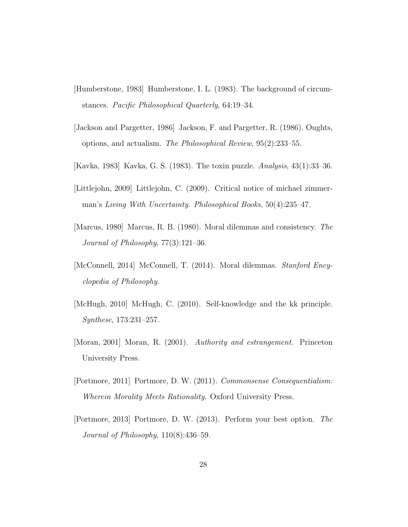- [Humberstone, 1983] Humberstone, I. L. (1983). The background of circumstances. Pacific Philosophical Quarterly, 64:19–34.
- [Jackson and Pargetter, 1986] Jackson, F. and Pargetter, R. (1986). Oughts, options, and actualism. The Philosophical Review, 95(2):233–55.
- [Kavka, 1983] Kavka, G. S. (1983). The toxin puzzle. Analysis, 43(1):33–36.
- [Littlejohn, 2009] Littlejohn, C. (2009). Critical notice of michael zimmerman's Living With Uncertainty. Philosophical Books, 50(4):235–47.
- [Marcus, 1980] Marcus, R. B. (1980). Moral dilemmas and consistency. The Journal of Philosophy, 77(3):121–36.
- [McConnell, 2014] McConnell, T. (2014). Moral dilemmas. Stanford Encyclopedia of Philosophy.
- [McHugh, 2010] McHugh, C. (2010). Self-knowledge and the kk principle. Synthese, 173:231–257.
- [Moran, 2001] Moran, R. (2001). Authority and estrangement. Princeton University Press.
- [Portmore, 2011] Portmore, D. W. (2011). Commonsense Consequentialism: Wherein Morality Meets Rationality. Oxford University Press.
- [Portmore, 2013] Portmore, D. W. (2013). Perform your best option. The Journal of Philosophy, 110(8):436–59.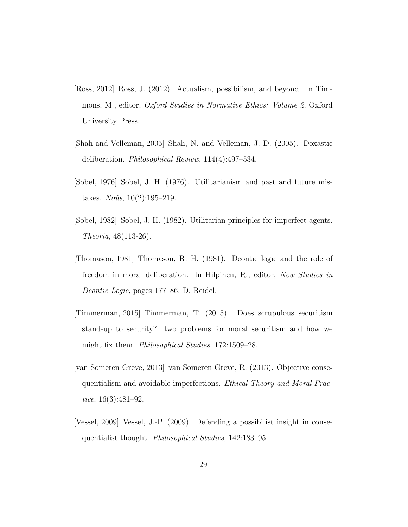- [Ross, 2012] Ross, J. (2012). Actualism, possibilism, and beyond. In Timmons, M., editor, Oxford Studies in Normative Ethics: Volume 2. Oxford University Press.
- [Shah and Velleman, 2005] Shah, N. and Velleman, J. D. (2005). Doxastic deliberation. Philosophical Review, 114(4):497–534.
- [Sobel, 1976] Sobel, J. H. (1976). Utilitarianism and past and future mistakes. *Noûs*,  $10(2):195-219$ .
- [Sobel, 1982] Sobel, J. H. (1982). Utilitarian principles for imperfect agents. Theoria, 48(113-26).
- [Thomason, 1981] Thomason, R. H. (1981). Deontic logic and the role of freedom in moral deliberation. In Hilpinen, R., editor, New Studies in Deontic Logic, pages 177–86. D. Reidel.
- [Timmerman, 2015] Timmerman, T. (2015). Does scrupulous securitism stand-up to security? two problems for moral securitism and how we might fix them. Philosophical Studies, 172:1509–28.
- [van Someren Greve, 2013] van Someren Greve, R. (2013). Objective consequentialism and avoidable imperfections. Ethical Theory and Moral Practice, 16(3):481–92.
- [Vessel, 2009] Vessel, J.-P. (2009). Defending a possibilist insight in consequentialist thought. Philosophical Studies, 142:183–95.